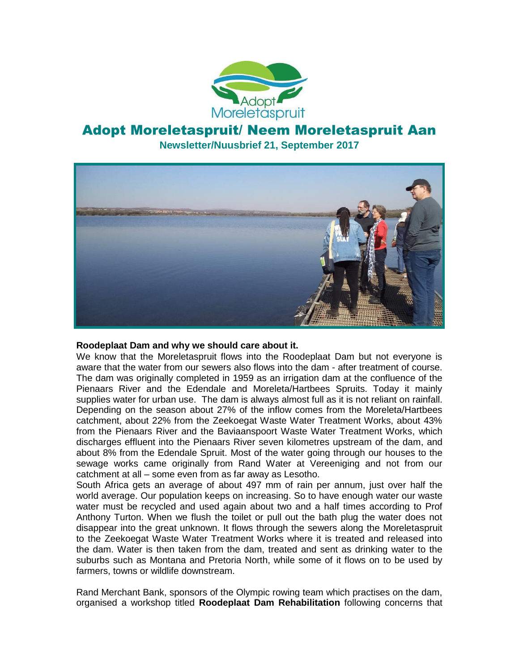

# Adopt Moreletaspruit/ Neem Moreletaspruit Aan **Newsletter/Nuusbrief 21, September 2017**



#### **Roodeplaat Dam and why we should care about it.**

We know that the Moreletaspruit flows into the Roodeplaat Dam but not everyone is aware that the water from our sewers also flows into the dam - after treatment of course. The dam was originally completed in 1959 as an irrigation dam at the confluence of the Pienaars River and the Edendale and Moreleta/Hartbees Spruits. Today it mainly supplies water for urban use. The dam is always almost full as it is not reliant on rainfall. Depending on the season about 27% of the inflow comes from the Moreleta/Hartbees catchment, about 22% from the Zeekoegat Waste Water Treatment Works, about 43% from the Pienaars River and the Baviaanspoort Waste Water Treatment Works, which discharges effluent into the Pienaars River seven kilometres upstream of the dam, and about 8% from the Edendale Spruit. Most of the water going through our houses to the sewage works came originally from Rand Water at Vereeniging and not from our catchment at all – some even from as far away as Lesotho.

South Africa gets an average of about 497 mm of rain per annum, just over half the world average. Our population keeps on increasing. So to have enough water our waste water must be recycled and used again about two and a half times according to Prof Anthony Turton. When we flush the toilet or pull out the bath plug the water does not disappear into the great unknown. It flows through the sewers along the Moreletaspruit to the Zeekoegat Waste Water Treatment Works where it is treated and released into the dam. Water is then taken from the dam, treated and sent as drinking water to the suburbs such as Montana and Pretoria North, while some of it flows on to be used by farmers, towns or wildlife downstream.

Rand Merchant Bank, sponsors of the Olympic rowing team which practises on the dam, organised a workshop titled **Roodeplaat Dam Rehabilitation** following concerns that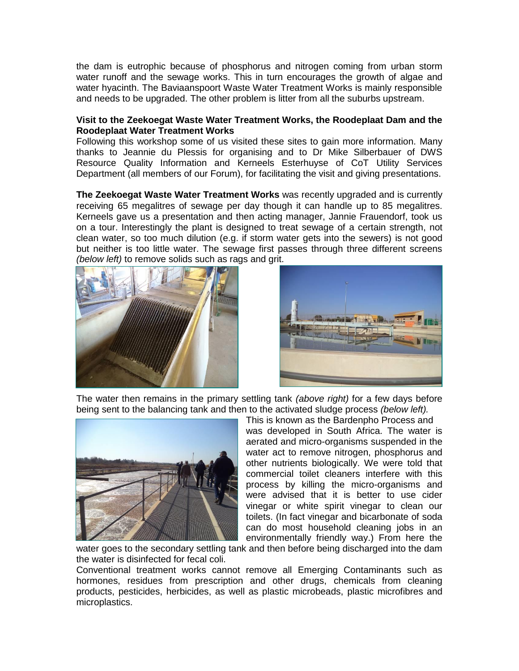the dam is eutrophic because of phosphorus and nitrogen coming from urban storm water runoff and the sewage works. This in turn encourages the growth of algae and water hyacinth. The Baviaanspoort Waste Water Treatment Works is mainly responsible and needs to be upgraded. The other problem is litter from all the suburbs upstream.

#### **Visit to the Zeekoegat Waste Water Treatment Works, the Roodeplaat Dam and the Roodeplaat Water Treatment Works**

Following this workshop some of us visited these sites to gain more information. Many thanks to Jeannie du Plessis for organising and to Dr Mike Silberbauer of DWS Resource Quality Information and Kerneels Esterhuyse of CoT Utility Services Department (all members of our Forum), for facilitating the visit and giving presentations.

**The Zeekoegat Waste Water Treatment Works** was recently upgraded and is currently receiving 65 megalitres of sewage per day though it can handle up to 85 megalitres. Kerneels gave us a presentation and then acting manager, Jannie Frauendorf, took us on a tour. Interestingly the plant is designed to treat sewage of a certain strength, not clean water, so too much dilution (e.g. if storm water gets into the sewers) is not good but neither is too little water. The sewage first passes through three different screens *(below left)* to remove solids such as rags and grit.





The water then remains in the primary settling tank *(above right)* for a few days before being sent to the balancing tank and then to the activated sludge process *(below left).*



This is known as the Bardenpho Process and was developed in South Africa. The water is aerated and micro-organisms suspended in the water act to remove nitrogen, phosphorus and other nutrients biologically. We were told that commercial toilet cleaners interfere with this process by killing the micro-organisms and were advised that it is better to use cider vinegar or white spirit vinegar to clean our toilets. (In fact vinegar and bicarbonate of soda can do most household cleaning jobs in an environmentally friendly way.) From here the

water goes to the secondary settling tank and then before being discharged into the dam the water is disinfected for fecal coli.

Conventional treatment works cannot remove all Emerging Contaminants such as hormones, residues from prescription and other drugs, chemicals from cleaning products, pesticides, herbicides, as well as plastic microbeads, plastic microfibres and microplastics.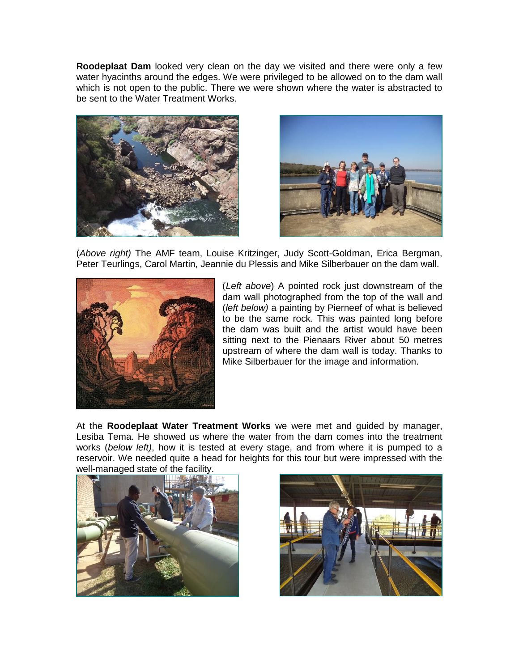**Roodeplaat Dam** looked very clean on the day we visited and there were only a few water hyacinths around the edges. We were privileged to be allowed on to the dam wall which is not open to the public. There we were shown where the water is abstracted to be sent to the Water Treatment Works.





(*Above right)* The AMF team, Louise Kritzinger, Judy Scott-Goldman, Erica Bergman, Peter Teurlings, Carol Martin, Jeannie du Plessis and Mike Silberbauer on the dam wall.



(*Left above*) A pointed rock just downstream of the dam wall photographed from the top of the wall and (*left below)* a painting by Pierneef of what is believed to be the same rock. This was painted long before the dam was built and the artist would have been sitting next to the Pienaars River about 50 metres upstream of where the dam wall is today. Thanks to Mike Silberbauer for the image and information.

At the **Roodeplaat Water Treatment Works** we were met and guided by manager, Lesiba Tema. He showed us where the water from the dam comes into the treatment works (*below left)*, how it is tested at every stage, and from where it is pumped to a reservoir. We needed quite a head for heights for this tour but were impressed with the well-managed state of the facility.



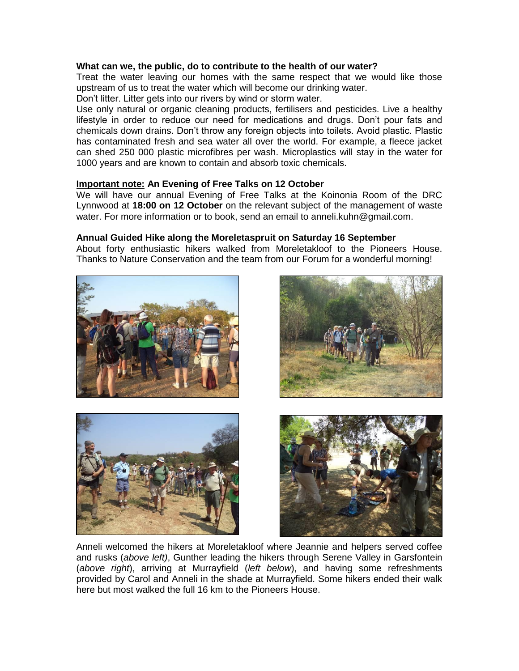### **What can we, the public, do to contribute to the health of our water?**

Treat the water leaving our homes with the same respect that we would like those upstream of us to treat the water which will become our drinking water.

Don't litter. Litter gets into our rivers by wind or storm water.

Use only natural or organic cleaning products, fertilisers and pesticides. Live a healthy lifestyle in order to reduce our need for medications and drugs. Don't pour fats and chemicals down drains. Don't throw any foreign objects into toilets. Avoid plastic. Plastic has contaminated fresh and sea water all over the world. For example, a fleece jacket can shed 250 000 plastic microfibres per wash. Microplastics will stay in the water for 1000 years and are known to contain and absorb toxic chemicals.

### **Important note: An Evening of Free Talks on 12 October**

We will have our annual Evening of Free Talks at the Koinonia Room of the DRC Lynnwood at **18:00 on 12 October** on the relevant subject of the management of waste water. For more information or to book, send an email to anneli.kuhn@gmail.com.

## **Annual Guided Hike along the Moreletaspruit on Saturday 16 September**

About forty enthusiastic hikers walked from Moreletakloof to the Pioneers House. Thanks to Nature Conservation and the team from our Forum for a wonderful morning!









Anneli welcomed the hikers at Moreletakloof where Jeannie and helpers served coffee and rusks (*above left)*, Gunther leading the hikers through Serene Valley in Garsfontein (*above right*), arriving at Murrayfield (*left below*), and having some refreshments provided by Carol and Anneli in the shade at Murrayfield. Some hikers ended their walk here but most walked the full 16 km to the Pioneers House.